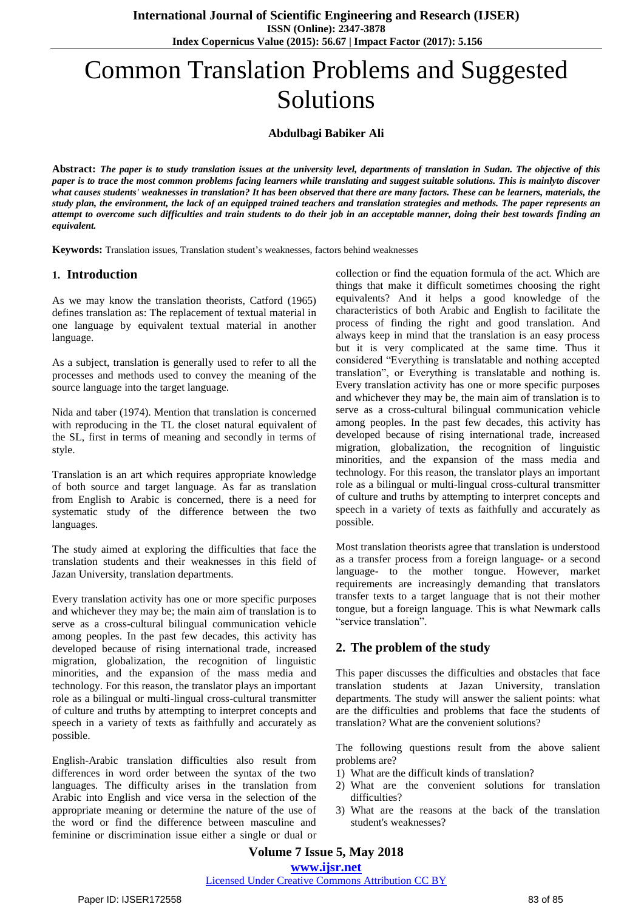# Common Translation Problems and Suggested Solutions

**Abdulbagi Babiker Ali**

**Abstract:** *The paper is to study translation issues at the university level, departments of translation in Sudan. The objective of this paper is to trace the most common problems facing learners while translating and suggest suitable solutions. This is mainlyto discover what causes students' weaknesses in translation? It has been observed that there are many factors. These can be learners, materials, the study plan, the environment, the lack of an equipped trained teachers and translation strategies and methods. The paper represents an attempt to overcome such difficulties and train students to do their job in an acceptable manner, doing their best towards finding an equivalent.*

**Keywords:** Translation issues, Translation student's weaknesses, factors behind weaknesses

#### **1. Introduction**

As we may know the translation theorists, Catford (1965) defines translation as: The replacement of textual material in one language by equivalent textual material in another language.

As a subject, translation is generally used to refer to all the processes and methods used to convey the meaning of the source language into the target language.

Nida and taber (1974). Mention that translation is concerned with reproducing in the TL the closet natural equivalent of the SL, first in terms of meaning and secondly in terms of style.

Translation is an art which requires appropriate knowledge of both source and target language. As far as translation from English to Arabic is concerned, there is a need for systematic study of the difference between the two languages.

The study aimed at exploring the difficulties that face the translation students and their weaknesses in this field of Jazan University, translation departments.

Every translation activity has one or more specific purposes and whichever they may be; the main aim of translation is to serve as a cross-cultural bilingual communication vehicle among peoples. In the past few decades, this activity has developed because of rising international trade, increased migration, globalization, the recognition of linguistic minorities, and the expansion of the mass media and technology. For this reason, the translator plays an important role as a bilingual or multi-lingual cross-cultural transmitter of culture and truths by attempting to interpret concepts and speech in a variety of texts as faithfully and accurately as possible.

English-Arabic translation difficulties also result from differences in word order between the syntax of the two languages. The difficulty arises in the translation from Arabic into English and vice versa in the selection of the appropriate meaning or determine the nature of the use of the word or find the difference between masculine and feminine or discrimination issue either a single or dual or collection or find the equation formula of the act. Which are things that make it difficult sometimes choosing the right equivalents? And it helps a good knowledge of the characteristics of both Arabic and English to facilitate the process of finding the right and good translation. And always keep in mind that the translation is an easy process but it is very complicated at the same time. Thus it considered "Everything is translatable and nothing accepted translation", or Everything is translatable and nothing is. Every translation activity has one or more specific purposes and whichever they may be, the main aim of translation is to serve as a cross-cultural bilingual communication vehicle among peoples. In the past few decades, this activity has developed because of rising international trade, increased migration, globalization, the recognition of linguistic minorities, and the expansion of the mass media and technology. For this reason, the translator plays an important role as a bilingual or multi-lingual cross-cultural transmitter of culture and truths by attempting to interpret concepts and speech in a variety of texts as faithfully and accurately as possible.

Most translation theorists agree that translation is understood as a transfer process from a foreign language- or a second language- to the mother tongue. However, market requirements are increasingly demanding that translators transfer texts to a target language that is not their mother tongue, but a foreign language. This is what Newmark calls "service translation".

## **2. The problem of the study**

This paper discusses the difficulties and obstacles that face translation students at Jazan University, translation departments. The study will answer the salient points: what are the difficulties and problems that face the students of translation? What are the convenient solutions?

The following questions result from the above salient problems are?

- 1) What are the difficult kinds of translation?
- 2) What are the convenient solutions for translation difficulties?
- 3) What are the reasons at the back of the translation student's weaknesses?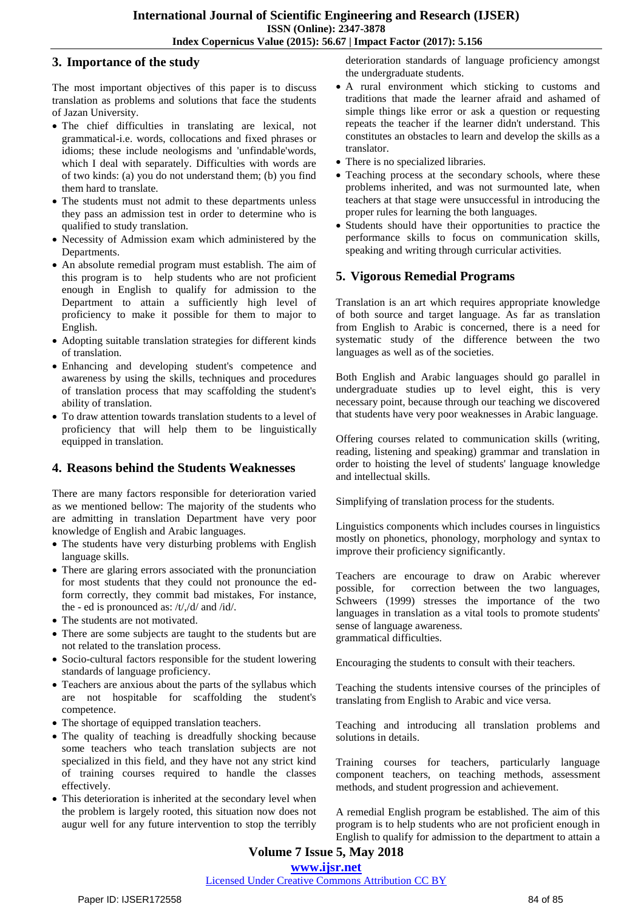### **3. Importance of the study**

The most important objectives of this paper is to discuss translation as problems and solutions that face the students of Jazan University.

- The chief difficulties in translating are lexical, not grammatical-i.e. words, collocations and fixed phrases or idioms; these include neologisms and 'unfindable'words, which I deal with separately. Difficulties with words are of two kinds: (a) you do not understand them; (b) you find them hard to translate.
- The students must not admit to these departments unless they pass an admission test in order to determine who is qualified to study translation.
- Necessity of Admission exam which administered by the Departments.
- An absolute remedial program must establish. The aim of this program is to help students who are not proficient enough in English to qualify for admission to the Department to attain a sufficiently high level of proficiency to make it possible for them to major to English.
- Adopting suitable translation strategies for different kinds of translation.
- Enhancing and developing student's competence and awareness by using the skills, techniques and procedures of translation process that may scaffolding the student's ability of translation.
- To draw attention towards translation students to a level of proficiency that will help them to be linguistically equipped in translation.

## **4. Reasons behind the Students Weaknesses**

There are many factors responsible for deterioration varied as we mentioned bellow: The majority of the students who are admitting in translation Department have very poor knowledge of English and Arabic languages.

- The students have very disturbing problems with English language skills.
- There are glaring errors associated with the pronunciation for most students that they could not pronounce the edform correctly, they commit bad mistakes, For instance, the - ed is pronounced as: /t/,/d/ and /id/.
- The students are not motivated.
- There are some subjects are taught to the students but are not related to the translation process.
- Socio-cultural factors responsible for the student lowering standards of language proficiency.
- Teachers are anxious about the parts of the syllabus which are not hospitable for scaffolding the student's competence.
- The shortage of equipped translation teachers.
- The quality of teaching is dreadfully shocking because some teachers who teach translation subjects are not specialized in this field, and they have not any strict kind of training courses required to handle the classes effectively.
- This deterioration is inherited at the secondary level when the problem is largely rooted, this situation now does not augur well for any future intervention to stop the terribly

deterioration standards of language proficiency amongst the undergraduate students.

- A rural environment which sticking to customs and traditions that made the learner afraid and ashamed of simple things like error or ask a question or requesting repeats the teacher if the learner didn't understand. This constitutes an obstacles to learn and develop the skills as a translator.
- There is no specialized libraries.
- Teaching process at the secondary schools, where these problems inherited, and was not surmounted late, when teachers at that stage were unsuccessful in introducing the proper rules for learning the both languages.
- Students should have their opportunities to practice the performance skills to focus on communication skills, speaking and writing through curricular activities.

## **5. Vigorous Remedial Programs**

Translation is an art which requires appropriate knowledge of both source and target language. As far as translation from English to Arabic is concerned, there is a need for systematic study of the difference between the two languages as well as of the societies.

Both English and Arabic languages should go parallel in undergraduate studies up to level eight, this is very necessary point, because through our teaching we discovered that students have very poor weaknesses in Arabic language.

Offering courses related to communication skills (writing, reading, listening and speaking) grammar and translation in order to hoisting the level of students' language knowledge and intellectual skills.

Simplifying of translation process for the students.

Linguistics components which includes courses in linguistics mostly on phonetics, phonology, morphology and syntax to improve their proficiency significantly.

Teachers are encourage to draw on Arabic wherever possible, for correction between the two languages, Schweers (1999) stresses the importance of the two languages in translation as a vital tools to promote students' sense of language awareness. grammatical difficulties.

Encouraging the students to consult with their teachers.

Teaching the students intensive courses of the principles of translating from English to Arabic and vice versa.

Teaching and introducing all translation problems and solutions in details.

Training courses for teachers, particularly language component teachers, on teaching methods, assessment methods, and student progression and achievement.

A remedial English program be established. The aim of this program is to help students who are not proficient enough in English to qualify for admission to the department to attain a

# **Volume 7 Issue 5, May 2018**

**<www.ijsr.net>**

[Licensed Under Creative Commons Attribution CC BY](http://creativecommons.org/licenses/by/4.0/)